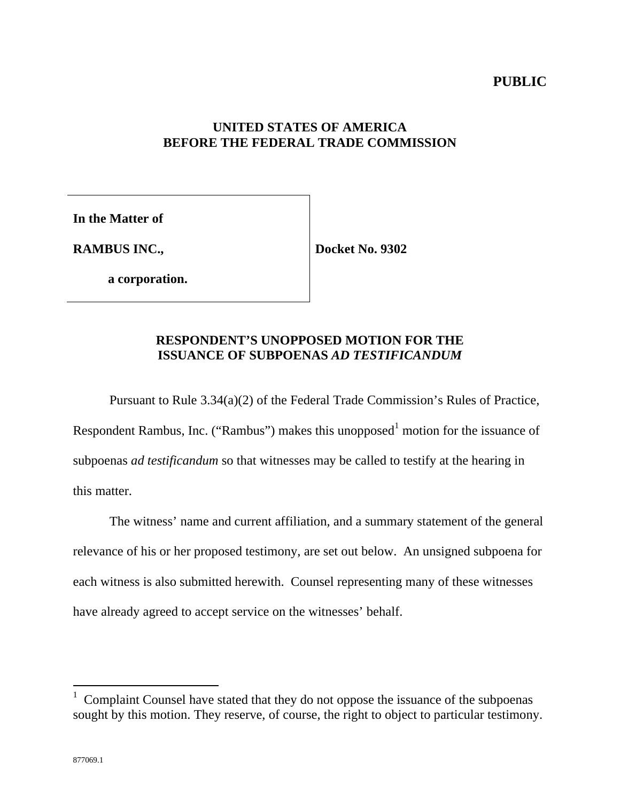# **UNITED STATES OF AMERICA BEFORE THE FEDERAL TRADE COMMISSION**

**In the Matter of**

**RAMBUS INC.,**

**Docket No. 9302**

**a corporation.**

# **RESPONDENT'S UNOPPOSED MOTION FOR THE ISSUANCE OF SUBPOENAS** *AD TESTIFICANDUM*

Pursuant to Rule 3.34(a)(2) of the Federal Trade Commission's Rules of Practice, Respondent Rambus, Inc. ("Rambus") makes this unopposed<sup>1</sup> motion for the issuance of subpoenas *ad testificandum* so that witnesses may be called to testify at the hearing in this matter.

The witness' name and current affiliation, and a summary statement of the general relevance of his or her proposed testimony, are set out below. An unsigned subpoena for each witness is also submitted herewith. Counsel representing many of these witnesses have already agreed to accept service on the witnesses' behalf.

 $\overline{a}$ 

<sup>1</sup> Complaint Counsel have stated that they do not oppose the issuance of the subpoenas sought by this motion. They reserve, of course, the right to object to particular testimony.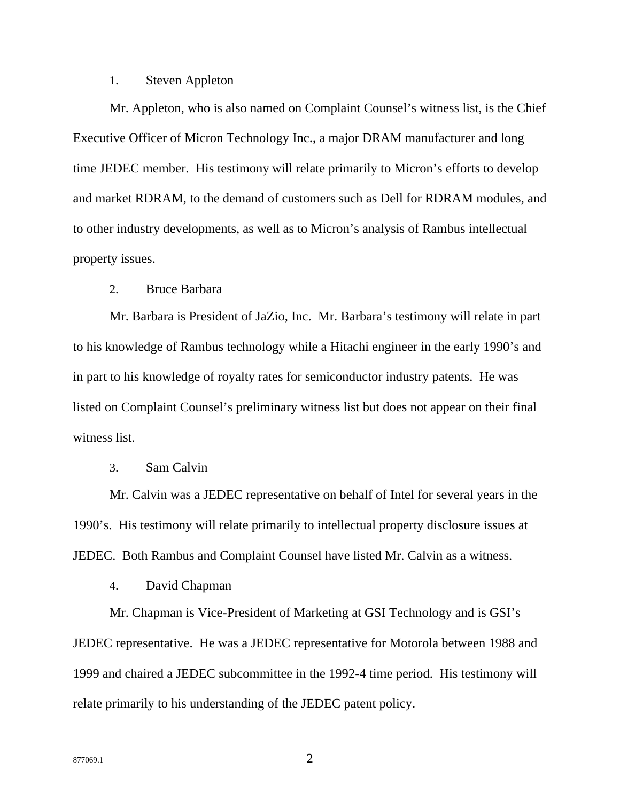## 1. Steven Appleton

Mr. Appleton, who is also named on Complaint Counsel's witness list, is the Chief Executive Officer of Micron Technology Inc., a major DRAM manufacturer and long time JEDEC member. His testimony will relate primarily to Micron's efforts to develop and market RDRAM, to the demand of customers such as Dell for RDRAM modules, and to other industry developments, as well as to Micron's analysis of Rambus intellectual property issues.

## 2. Bruce Barbara

Mr. Barbara is President of JaZio, Inc. Mr. Barbara's testimony will relate in part to his knowledge of Rambus technology while a Hitachi engineer in the early 1990's and in part to his knowledge of royalty rates for semiconductor industry patents. He was listed on Complaint Counsel's preliminary witness list but does not appear on their final witness list.

## 3. Sam Calvin

Mr. Calvin was a JEDEC representative on behalf of Intel for several years in the 1990's. His testimony will relate primarily to intellectual property disclosure issues at JEDEC. Both Rambus and Complaint Counsel have listed Mr. Calvin as a witness.

## 4. David Chapman

Mr. Chapman is Vice-President of Marketing at GSI Technology and is GSI's JEDEC representative. He was a JEDEC representative for Motorola between 1988 and 1999 and chaired a JEDEC subcommittee in the 1992-4 time period. His testimony will relate primarily to his understanding of the JEDEC patent policy.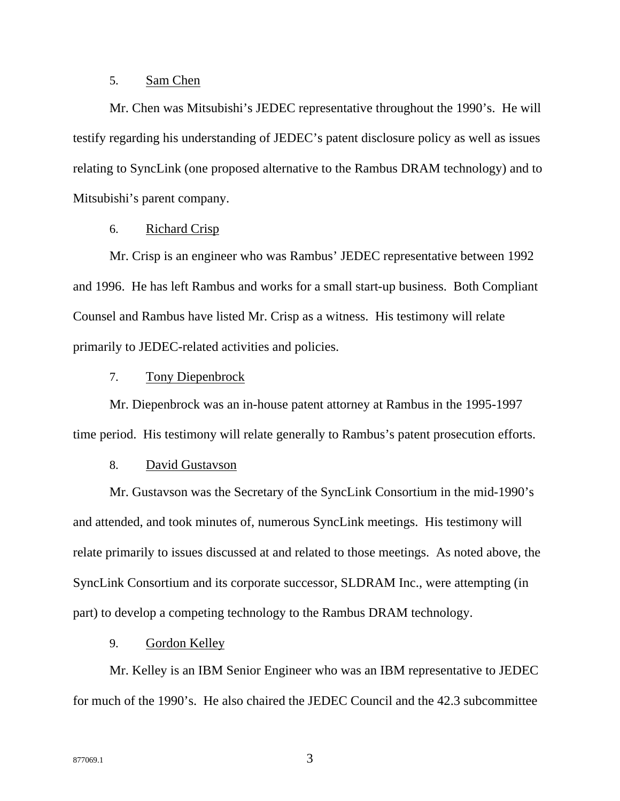## 5. Sam Chen

Mr. Chen was Mitsubishi's JEDEC representative throughout the 1990's. He will testify regarding his understanding of JEDEC's patent disclosure policy as well as issues relating to SyncLink (one proposed alternative to the Rambus DRAM technology) and to Mitsubishi's parent company.

## 6. Richard Crisp

Mr. Crisp is an engineer who was Rambus' JEDEC representative between 1992 and 1996. He has left Rambus and works for a small start-up business. Both Compliant Counsel and Rambus have listed Mr. Crisp as a witness. His testimony will relate primarily to JEDEC-related activities and policies.

#### 7. Tony Diepenbrock

Mr. Diepenbrock was an in-house patent attorney at Rambus in the 1995-1997 time period. His testimony will relate generally to Rambus's patent prosecution efforts.

### 8. David Gustavson

Mr. Gustavson was the Secretary of the SyncLink Consortium in the mid-1990's and attended, and took minutes of, numerous SyncLink meetings. His testimony will relate primarily to issues discussed at and related to those meetings. As noted above, the SyncLink Consortium and its corporate successor, SLDRAM Inc., were attempting (in part) to develop a competing technology to the Rambus DRAM technology.

## 9. Gordon Kelley

Mr. Kelley is an IBM Senior Engineer who was an IBM representative to JEDEC for much of the 1990's. He also chaired the JEDEC Council and the 42.3 subcommittee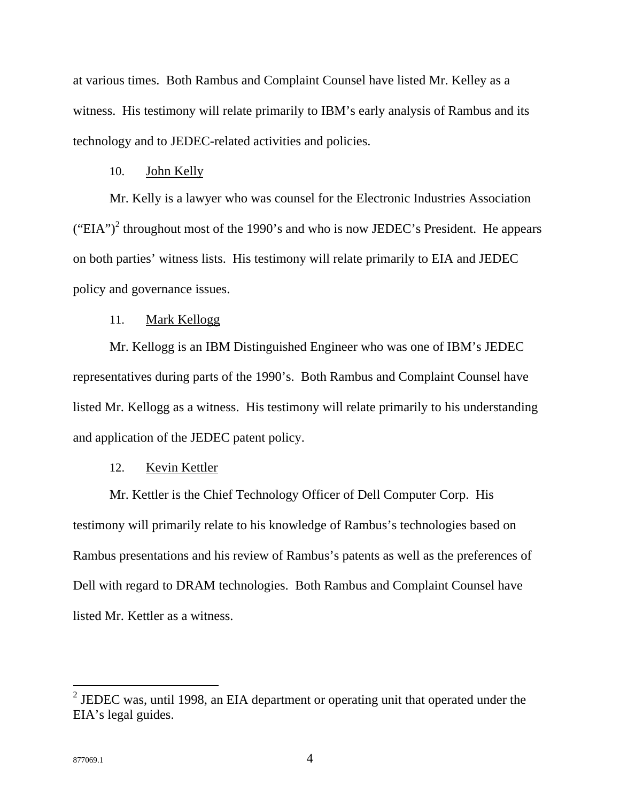at various times. Both Rambus and Complaint Counsel have listed Mr. Kelley as a witness. His testimony will relate primarily to IBM's early analysis of Rambus and its technology and to JEDEC-related activities and policies.

#### 10. John Kelly

Mr. Kelly is a lawyer who was counsel for the Electronic Industries Association ("EIA")<sup>2</sup> throughout most of the 1990's and who is now JEDEC's President. He appears on both parties' witness lists. His testimony will relate primarily to EIA and JEDEC policy and governance issues.

## 11. Mark Kellogg

Mr. Kellogg is an IBM Distinguished Engineer who was one of IBM's JEDEC representatives during parts of the 1990's. Both Rambus and Complaint Counsel have listed Mr. Kellogg as a witness. His testimony will relate primarily to his understanding and application of the JEDEC patent policy.

## 12. Kevin Kettler

Mr. Kettler is the Chief Technology Officer of Dell Computer Corp. His testimony will primarily relate to his knowledge of Rambus's technologies based on Rambus presentations and his review of Rambus's patents as well as the preferences of Dell with regard to DRAM technologies. Both Rambus and Complaint Counsel have listed Mr. Kettler as a witness.

 $\overline{a}$ 

<sup>&</sup>lt;sup>2</sup> JEDEC was, until 1998, an EIA department or operating unit that operated under the EIA's legal guides.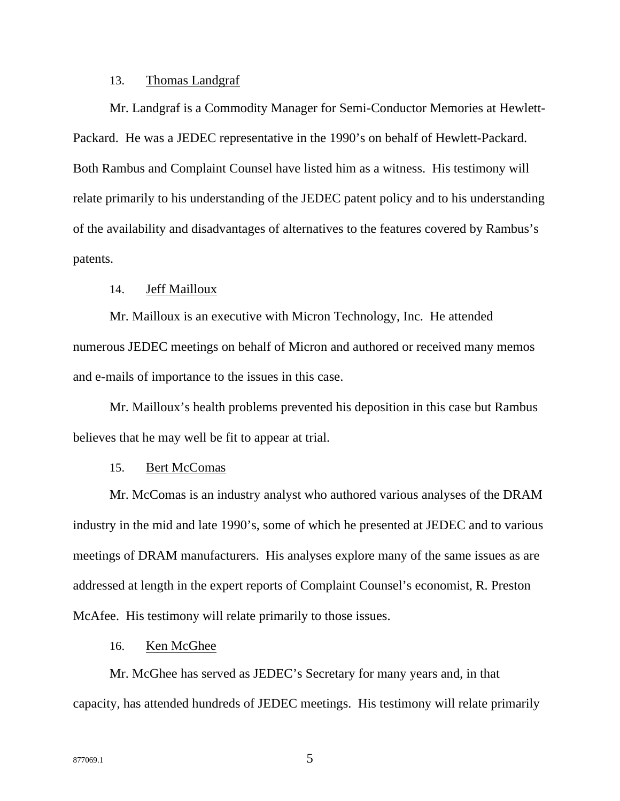## 13. Thomas Landgraf

Mr. Landgraf is a Commodity Manager for Semi-Conductor Memories at Hewlett-Packard. He was a JEDEC representative in the 1990's on behalf of Hewlett-Packard. Both Rambus and Complaint Counsel have listed him as a witness. His testimony will relate primarily to his understanding of the JEDEC patent policy and to his understanding of the availability and disadvantages of alternatives to the features covered by Rambus's patents.

## 14. Jeff Mailloux

Mr. Mailloux is an executive with Micron Technology, Inc. He attended numerous JEDEC meetings on behalf of Micron and authored or received many memos and e-mails of importance to the issues in this case.

Mr. Mailloux's health problems prevented his deposition in this case but Rambus believes that he may well be fit to appear at trial.

## 15. Bert McComas

Mr. McComas is an industry analyst who authored various analyses of the DRAM industry in the mid and late 1990's, some of which he presented at JEDEC and to various meetings of DRAM manufacturers. His analyses explore many of the same issues as are addressed at length in the expert reports of Complaint Counsel's economist, R. Preston McAfee. His testimony will relate primarily to those issues.

## 16. Ken McGhee

Mr. McGhee has served as JEDEC's Secretary for many years and, in that capacity, has attended hundreds of JEDEC meetings. His testimony will relate primarily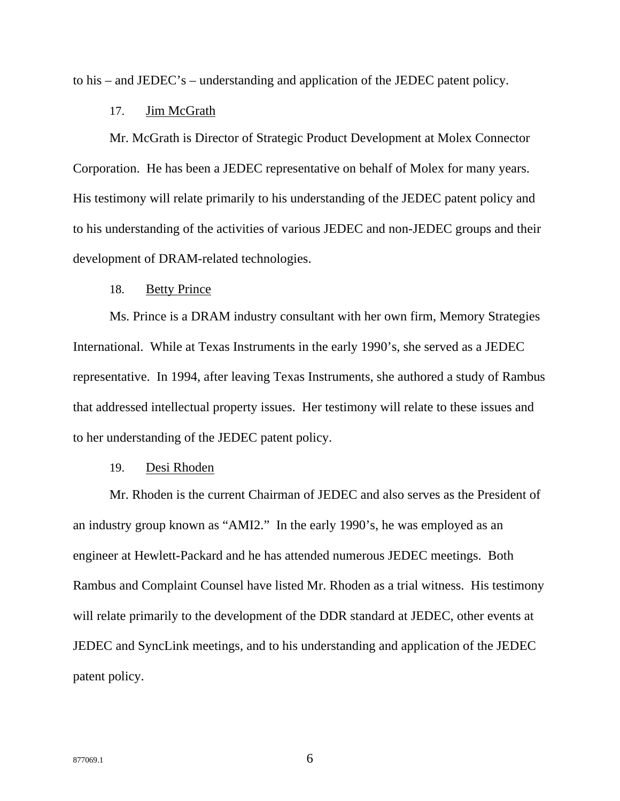to his – and JEDEC's – understanding and application of the JEDEC patent policy.

#### 17. Jim McGrath

Mr. McGrath is Director of Strategic Product Development at Molex Connector Corporation. He has been a JEDEC representative on behalf of Molex for many years. His testimony will relate primarily to his understanding of the JEDEC patent policy and to his understanding of the activities of various JEDEC and non-JEDEC groups and their development of DRAM-related technologies.

## 18. Betty Prince

Ms. Prince is a DRAM industry consultant with her own firm, Memory Strategies International. While at Texas Instruments in the early 1990's, she served as a JEDEC representative. In 1994, after leaving Texas Instruments, she authored a study of Rambus that addressed intellectual property issues. Her testimony will relate to these issues and to her understanding of the JEDEC patent policy.

## 19. Desi Rhoden

Mr. Rhoden is the current Chairman of JEDEC and also serves as the President of an industry group known as "AMI2." In the early 1990's, he was employed as an engineer at Hewlett-Packard and he has attended numerous JEDEC meetings. Both Rambus and Complaint Counsel have listed Mr. Rhoden as a trial witness. His testimony will relate primarily to the development of the DDR standard at JEDEC, other events at JEDEC and SyncLink meetings, and to his understanding and application of the JEDEC patent policy.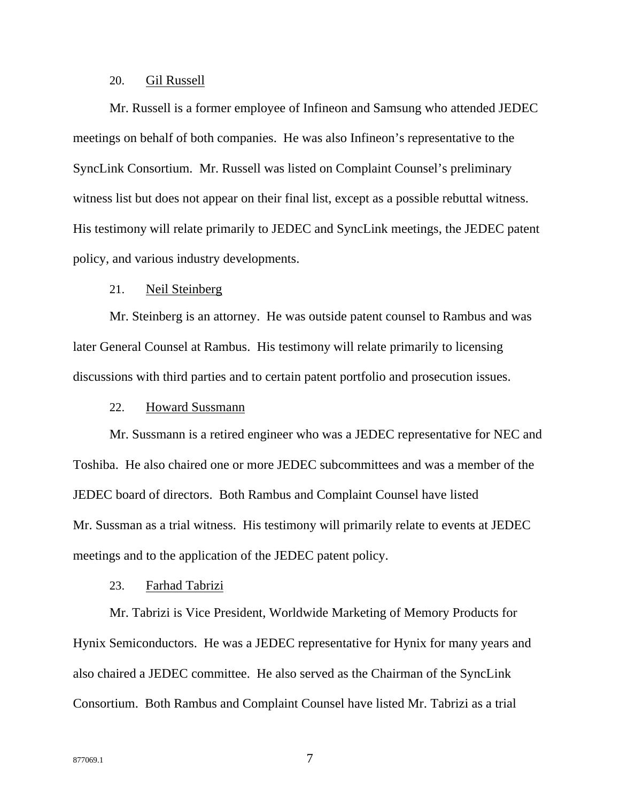## 20. Gil Russell

Mr. Russell is a former employee of Infineon and Samsung who attended JEDEC meetings on behalf of both companies. He was also Infineon's representative to the SyncLink Consortium. Mr. Russell was listed on Complaint Counsel's preliminary witness list but does not appear on their final list, except as a possible rebuttal witness. His testimony will relate primarily to JEDEC and SyncLink meetings, the JEDEC patent policy, and various industry developments.

## 21. Neil Steinberg

Mr. Steinberg is an attorney. He was outside patent counsel to Rambus and was later General Counsel at Rambus. His testimony will relate primarily to licensing discussions with third parties and to certain patent portfolio and prosecution issues.

## 22. Howard Sussmann

Mr. Sussmann is a retired engineer who was a JEDEC representative for NEC and Toshiba. He also chaired one or more JEDEC subcommittees and was a member of the JEDEC board of directors. Both Rambus and Complaint Counsel have listed Mr. Sussman as a trial witness. His testimony will primarily relate to events at JEDEC meetings and to the application of the JEDEC patent policy.

## 23. Farhad Tabrizi

Mr. Tabrizi is Vice President, Worldwide Marketing of Memory Products for Hynix Semiconductors. He was a JEDEC representative for Hynix for many years and also chaired a JEDEC committee. He also served as the Chairman of the SyncLink Consortium. Both Rambus and Complaint Counsel have listed Mr. Tabrizi as a trial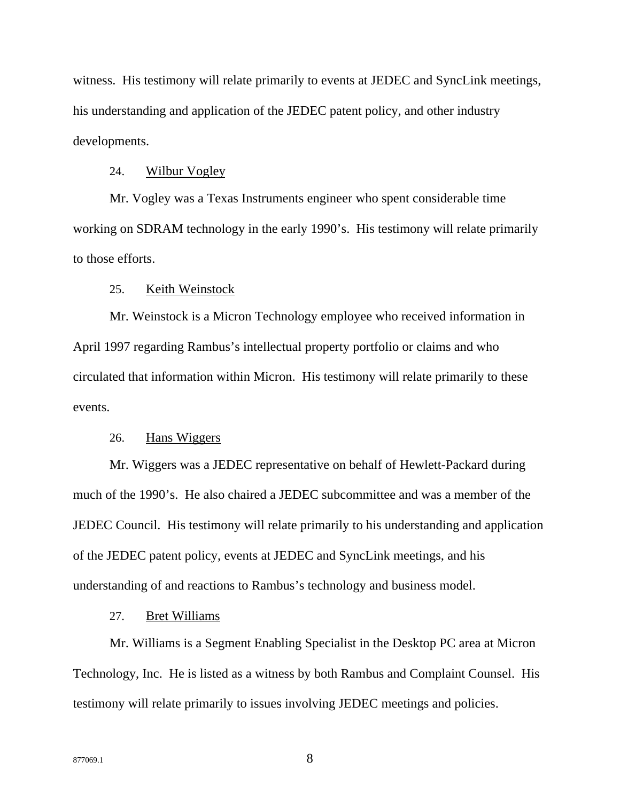witness. His testimony will relate primarily to events at JEDEC and SyncLink meetings, his understanding and application of the JEDEC patent policy, and other industry developments.

#### 24. Wilbur Vogley

Mr. Vogley was a Texas Instruments engineer who spent considerable time working on SDRAM technology in the early 1990's. His testimony will relate primarily to those efforts.

## 25. Keith Weinstock

Mr. Weinstock is a Micron Technology employee who received information in April 1997 regarding Rambus's intellectual property portfolio or claims and who circulated that information within Micron. His testimony will relate primarily to these events.

## 26. Hans Wiggers

Mr. Wiggers was a JEDEC representative on behalf of Hewlett-Packard during much of the 1990's. He also chaired a JEDEC subcommittee and was a member of the JEDEC Council. His testimony will relate primarily to his understanding and application of the JEDEC patent policy, events at JEDEC and SyncLink meetings, and his understanding of and reactions to Rambus's technology and business model.

#### 27. Bret Williams

Mr. Williams is a Segment Enabling Specialist in the Desktop PC area at Micron Technology, Inc. He is listed as a witness by both Rambus and Complaint Counsel. His testimony will relate primarily to issues involving JEDEC meetings and policies.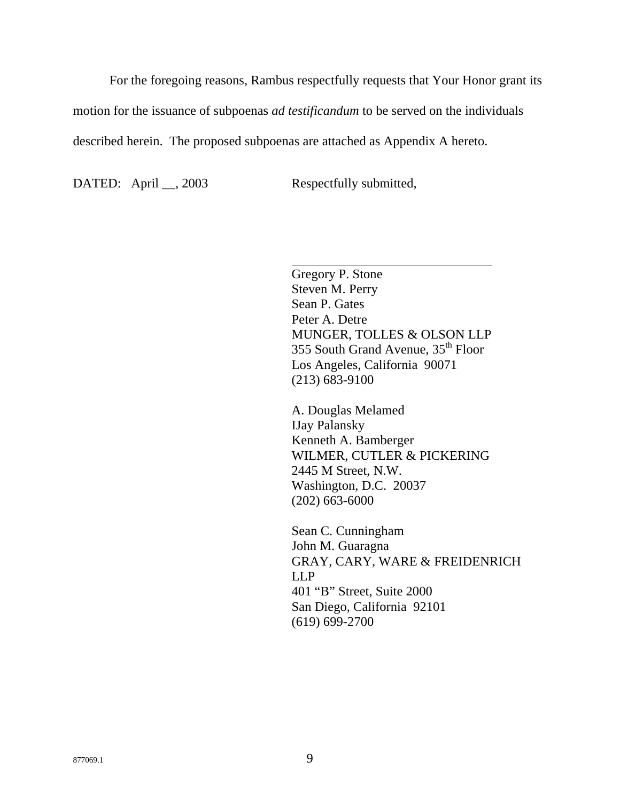For the foregoing reasons, Rambus respectfully requests that Your Honor grant its

motion for the issuance of subpoenas *ad testificandum* to be served on the individuals

 $\overline{\phantom{a}}$ 

described herein. The proposed subpoenas are attached as Appendix A hereto.

DATED: April \_\_, 2003 Respectfully submitted,

Gregory P. Stone Steven M. Perry Sean P. Gates Peter A. Detre MUNGER, TOLLES & OLSON LLP 355 South Grand Avenue, 35<sup>th</sup> Floor Los Angeles, California 90071 (213) 683-9100

A. Douglas Melamed IJay Palansky Kenneth A. Bamberger WILMER, CUTLER & PICKERING 2445 M Street, N.W. Washington, D.C. 20037 (202) 663-6000

Sean C. Cunningham John M. Guaragna GRAY, CARY, WARE & FREIDENRICH LLP 401 "B" Street, Suite 2000 San Diego, California 92101 (619) 699-2700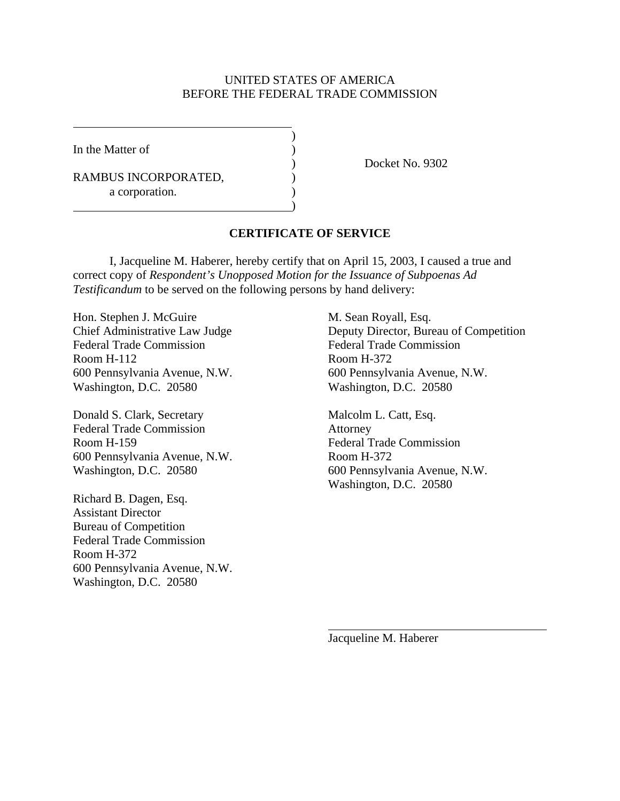## UNITED STATES OF AMERICA BEFORE THE FEDERAL TRADE COMMISSION

 $\lambda$ 

)

In the Matter of  $( )$ 

RAMBUS INCORPORATED, a corporation.

) Docket No. 9302

## **CERTIFICATE OF SERVICE**

I, Jacqueline M. Haberer, hereby certify that on April 15, 2003, I caused a true and correct copy of *Respondent's Unopposed Motion for the Issuance of Subpoenas Ad Testificandum* to be served on the following persons by hand delivery:

Hon. Stephen J. McGuire M. Sean Royall, Esq. Federal Trade Commission Federal Trade Commission Room H-112 Room H-372 600 Pennsylvania Avenue, N.W. 600 Pennsylvania Avenue, N.W. Washington, D.C. 20580 Washington, D.C. 20580

Donald S. Clark, Secretary Malcolm L. Catt, Esq. Federal Trade Commission Attorney Room H-159 Federal Trade Commission 600 Pennsylvania Avenue, N.W. Room H-372

Richard B. Dagen, Esq. Assistant Director Bureau of Competition Federal Trade Commission Room H-372 600 Pennsylvania Avenue, N.W. Washington, D.C. 20580

Chief Administrative Law Judge Deputy Director, Bureau of Competition

Washington, D.C. 20580 600 Pennsylvania Avenue, N.W. Washington, D.C. 20580

Jacqueline M. Haberer